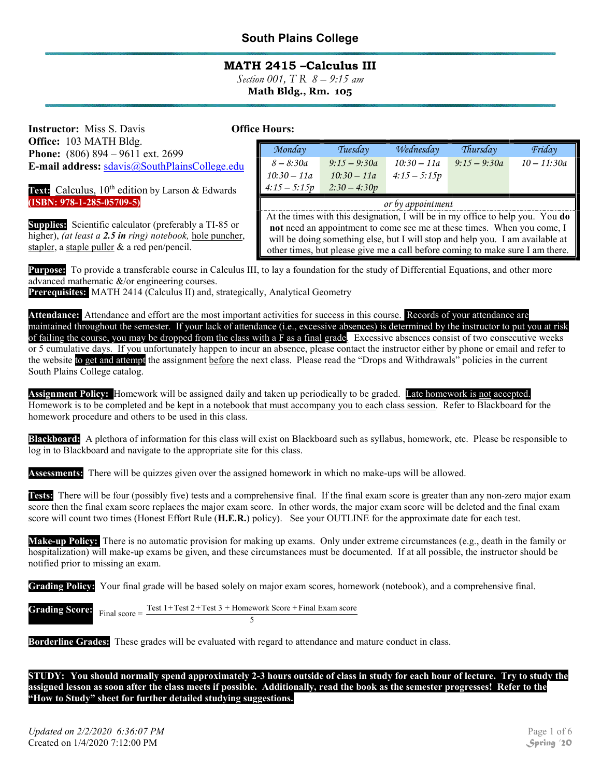### MATH 2415 –Calculus III

Section 001, T R  $8 - 9:15$  am Math Bldg., Rm. 105

**Instructor:** Miss S. Davis Office: 103 MATH Bldg. Phone: (806) 894 – 9611 ext. 2699 E-mail address: sdavis@SouthPlainsCollege.edu

Text: Calculus, 10<sup>th</sup> edition by Larson & Edwards (ISBN: 978-1-285-05709-5)

Supplies: Scientific calculator (preferably a TI-85 or higher), *(at least a 2.5 in ring) notebook*, hole puncher, stapler, a staple puller & a red pen/pencil.

| <b>Office Hours:</b> |
|----------------------|
|                      |

| Monday                                                                         | Tuesday        | Wednesday      | Thursday       | Friday        |
|--------------------------------------------------------------------------------|----------------|----------------|----------------|---------------|
| $8 - 8:30a$                                                                    | $9:15 - 9:30a$ | $10:30 - 11a$  | $9:15 - 9:30a$ | $10 - 11:30a$ |
| $10:30 - 11a$                                                                  | $10:30 - 11a$  | $4:15 - 5:15p$ |                |               |
| $4:15 - 5:15p$                                                                 | $2:30 - 4:30p$ |                |                |               |
|                                                                                |                |                |                |               |
| or by appointment                                                              |                |                |                |               |
|                                                                                |                |                |                |               |
| At the times with this designation, I will be in my office to help you. You do |                |                |                |               |
| not need an appointment to come see me at these times. When you come, I        |                |                |                |               |
|                                                                                |                |                |                |               |
| will be doing something else, but I will stop and help you. I am available at  |                |                |                |               |

other times, but please give me a call before coming to make sure I am there.

Purpose: To provide a transferable course in Calculus III, to lay a foundation for the study of Differential Equations, and other more advanced mathematic &/or engineering courses.

Prerequisites: MATH 2414 (Calculus II) and, strategically, Analytical Geometry

Attendance: Attendance and effort are the most important activities for success in this course. Records of your attendance are maintained throughout the semester. If your lack of attendance (i.e., excessive absences) is determined by the instructor to put you at risk of failing the course, you may be dropped from the class with a F as a final grade. Excessive absences consist of two consecutive weeks or 5 cumulative days. If you unfortunately happen to incur an absence, please contact the instructor either by phone or email and refer to the website to get and attempt the assignment before the next class. Please read the "Drops and Withdrawals" policies in the current South Plains College catalog.

Assignment Policy: Homework will be assigned daily and taken up periodically to be graded. Late homework is not accepted. Homework is to be completed and be kept in a notebook that must accompany you to each class session. Refer to Blackboard for the homework procedure and others to be used in this class.

Blackboard: A plethora of information for this class will exist on Blackboard such as syllabus, homework, etc. Please be responsible to log in to Blackboard and navigate to the appropriate site for this class.

Assessments: There will be quizzes given over the assigned homework in which no make-ups will be allowed.

Tests: There will be four (possibly five) tests and a comprehensive final. If the final exam score is greater than any non-zero major exam score then the final exam score replaces the major exam score. In other words, the major exam score will be deleted and the final exam score will count two times (Honest Effort Rule  $(H.E.R.)$  policy). See your OUTLINE for the approximate date for each test.

Make-up Policy: There is no automatic provision for making up exams. Only under extreme circumstances (e.g., death in the family or hospitalization) will make-up exams be given, and these circumstances must be documented. If at all possible, the instructor should be notified prior to missing an exam.

Grading Policy: Your final grade will be based solely on major exam scores, homework (notebook), and a comprehensive final.

|  | Test $1+Test\ 2+Test\ 3+Homework\ Score+Final\ Exam\ score$<br><b>Grading Score:</b> Final score = $\frac{\text{Test 1+Test 2+Test 3 + Homer}}{\text{Final score}}$ |
|--|---------------------------------------------------------------------------------------------------------------------------------------------------------------------|
|  |                                                                                                                                                                     |

Borderline Grades: These grades will be evaluated with regard to attendance and mature conduct in class.

STUDY: You should normally spend approximately 2-3 hours outside of class in study for each hour of lecture. Try to study the assigned lesson as soon after the class meets if possible. Additionally, read the book as the semester progresses! Refer to the "How to Study" sheet for further detailed studying suggestions.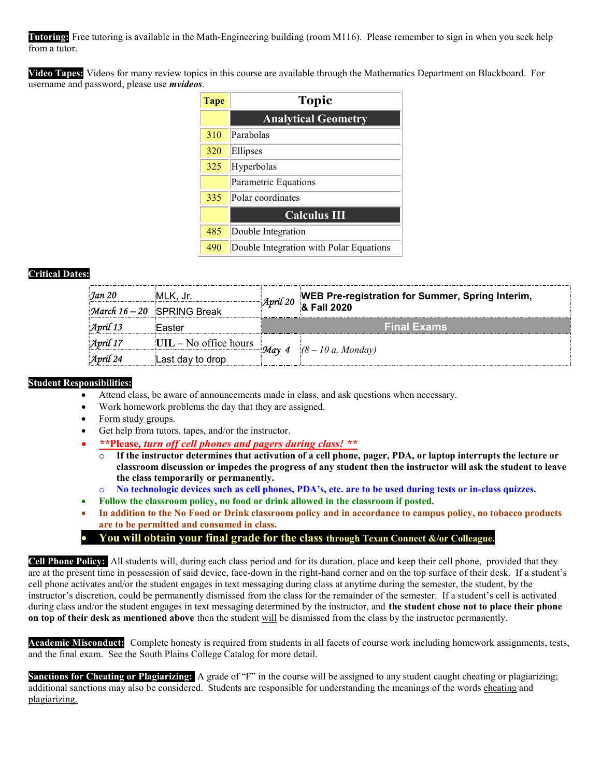Tutoring: Free tutoring is available in the Math-Engineering building (room M116). Please remember to sign in when you seek help from a tutor.

Video Tapes: Videos for many review topics in this course are available through the Mathematics Department on Blackboard. For username and password, please use *mvideos*.

| <b>Tape</b> | <b>Topic</b>                            |
|-------------|-----------------------------------------|
|             | <b>Analytical Geometry</b>              |
| 310         | Parabolas                               |
| 320         | Ellipses                                |
| 325         | Hyperbolas                              |
|             | Parametric Equations                    |
| 335         | Polar coordinates                       |
|             | <b>Calculus III</b>                     |
| 485         | Double Integration                      |
| 490         | Double Integration with Polar Equations |

#### Critical Dates:

| Jan 20                | MLK, Jr.<br>March 16 - 20 SPRING Break |                    | <i>April 20</i> WEB Pre-registration for Summer, Spring Interim, |  |
|-----------------------|----------------------------------------|--------------------|------------------------------------------------------------------|--|
| April 13              | Easter                                 | <b>Final Exams</b> |                                                                  |  |
| April 17              | $UIL - No$ office hours                |                    | $-May 4$ (8 – 10 a, Monday)                                      |  |
| $\mathcal{A}$ pril 24 | Last day to drop                       |                    |                                                                  |  |

#### Student Responsibilities:

- Attend class, be aware of announcements made in class, and ask questions when necessary.
- Work homework problems the day that they are assigned.
- Form study groups.
- Get help from tutors, tapes, and/or the instructor.
- \*\*Please, turn off cell phones and pagers during class! \*\*
	- If the instructor determines that activation of a cell phone, pager, PDA, or laptop interrupts the lecture or classroom discussion or impedes the progress of any student then the instructor will ask the student to leave the class temporarily or permanently.
	- o No technologic devices such as cell phones, PDA's, etc. are to be used during tests or in-class quizzes.
- Follow the classroom policy, no food or drink allowed in the classroom if posted.
- In addition to the No Food or Drink classroom policy and in accordance to campus policy, no tobacco products are to be permitted and consumed in class.
- You will obtain your final grade for the class through Texan Connect  $\&$  /or Colleague.

Cell Phone Policy: All students will, during each class period and for its duration, place and keep their cell phone, provided that they are at the present time in possession of said device, face-down in the right-hand corner and on the top surface of their desk. If a student's cell phone activates and/or the student engages in text messaging during class at anytime during the semester, the student, by the instructor's discretion, could be permanently dismissed from the class for the remainder of the semester. If a student's cell is activated during class and/or the student engages in text messaging determined by the instructor, and the student chose not to place their phone on top of their desk as mentioned above then the student will be dismissed from the class by the instructor permanently.

Academic Misconduct: Complete honesty is required from students in all facets of course work including homework assignments, tests, and the final exam. See the South Plains College Catalog for more detail.

Sanctions for Cheating or Plagiarizing: A grade of "F" in the course will be assigned to any student caught cheating or plagiarizing; additional sanctions may also be considered. Students are responsible for understanding the meanings of the words cheating and plagiarizing.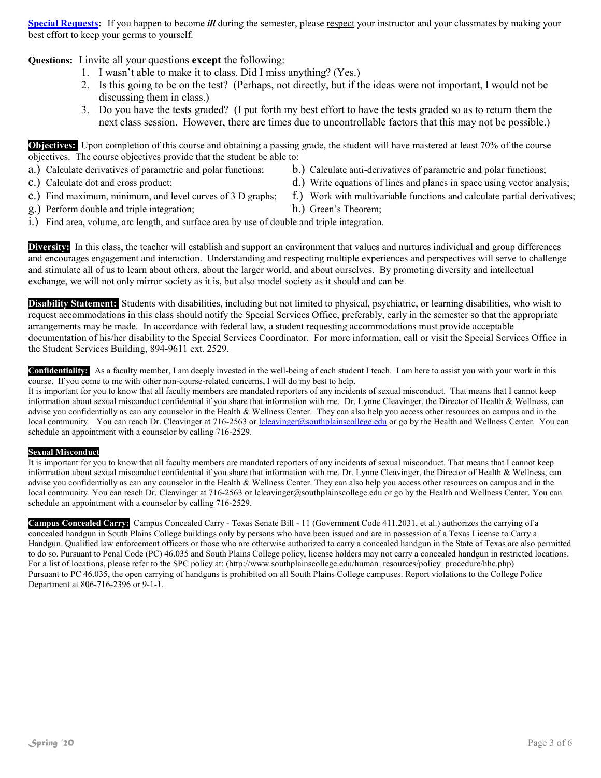Special Requests: If you happen to become *ill* during the semester, please respect your instructor and your classmates by making your best effort to keep your germs to yourself.

Questions: I invite all your questions except the following:

- 1. I wasn't able to make it to class. Did I miss anything? (Yes.)
- 2. Is this going to be on the test? (Perhaps, not directly, but if the ideas were not important, I would not be discussing them in class.)
- 3. Do you have the tests graded? (I put forth my best effort to have the tests graded so as to return them the next class session. However, there are times due to uncontrollable factors that this may not be possible.)

Objectives: Upon completion of this course and obtaining a passing grade, the student will have mastered at least 70% of the course objectives. The course objectives provide that the student be able to:

- a.) Calculate derivatives of parametric and polar functions; b.) Calculate anti-derivatives of parametric and polar functions;
- 
- 
- c.) Calculate dot and cross product; d. b. d.) Write equations of lines and planes in space using vector analysis;
	-
	-
- e.) Find maximum, minimum, and level curves of 3 D graphs; f.) Work with multivariable functions and calculate partial derivatives;
- g.) Perform double and triple integration; h.) Green's Theorem;
- i.) Find area, volume, arc length, and surface area by use of double and triple integration.

Diversity: In this class, the teacher will establish and support an environment that values and nurtures individual and group differences and encourages engagement and interaction. Understanding and respecting multiple experiences and perspectives will serve to challenge and stimulate all of us to learn about others, about the larger world, and about ourselves. By promoting diversity and intellectual exchange, we will not only mirror society as it is, but also model society as it should and can be.

Disability Statement: Students with disabilities, including but not limited to physical, psychiatric, or learning disabilities, who wish to request accommodations in this class should notify the Special Services Office, preferably, early in the semester so that the appropriate arrangements may be made. In accordance with federal law, a student requesting accommodations must provide acceptable documentation of his/her disability to the Special Services Coordinator. For more information, call or visit the Special Services Office in the Student Services Building, 894-9611 ext. 2529.

Confidentiality: As a faculty member, I am deeply invested in the well-being of each student I teach. I am here to assist you with your work in this course. If you come to me with other non-course-related concerns, I will do my best to help.

It is important for you to know that all faculty members are mandated reporters of any incidents of sexual misconduct. That means that I cannot keep information about sexual misconduct confidential if you share that information with me. Dr. Lynne Cleavinger, the Director of Health & Wellness, can advise you confidentially as can any counselor in the Health & Wellness Center. They can also help you access other resources on campus and in the local community. You can reach Dr. Cleavinger at 716-2563 or lcleavinger@southplainscollege.edu or go by the Health and Wellness Center. You can schedule an appointment with a counselor by calling 716-2529.

#### Sexual Misconduct

It is important for you to know that all faculty members are mandated reporters of any incidents of sexual misconduct. That means that I cannot keep information about sexual misconduct confidential if you share that information with me. Dr. Lynne Cleavinger, the Director of Health & Wellness, can advise you confidentially as can any counselor in the Health & Wellness Center. They can also help you access other resources on campus and in the local community. You can reach Dr. Cleavinger at 716-2563 or lcleavinger@southplainscollege.edu or go by the Health and Wellness Center. You can schedule an appointment with a counselor by calling 716-2529.

Campus Concealed Carry: Campus Concealed Carry - Texas Senate Bill - 11 (Government Code 411.2031, et al.) authorizes the carrying of a concealed handgun in South Plains College buildings only by persons who have been issued and are in possession of a Texas License to Carry a Handgun. Qualified law enforcement officers or those who are otherwise authorized to carry a concealed handgun in the State of Texas are also permitted to do so. Pursuant to Penal Code (PC) 46.035 and South Plains College policy, license holders may not carry a concealed handgun in restricted locations. For a list of locations, please refer to the SPC policy at: (http://www.southplainscollege.edu/human\_resources/policy\_procedure/hhc.php) Pursuant to PC 46.035, the open carrying of handguns is prohibited on all South Plains College campuses. Report violations to the College Police Department at 806-716-2396 or 9-1-1.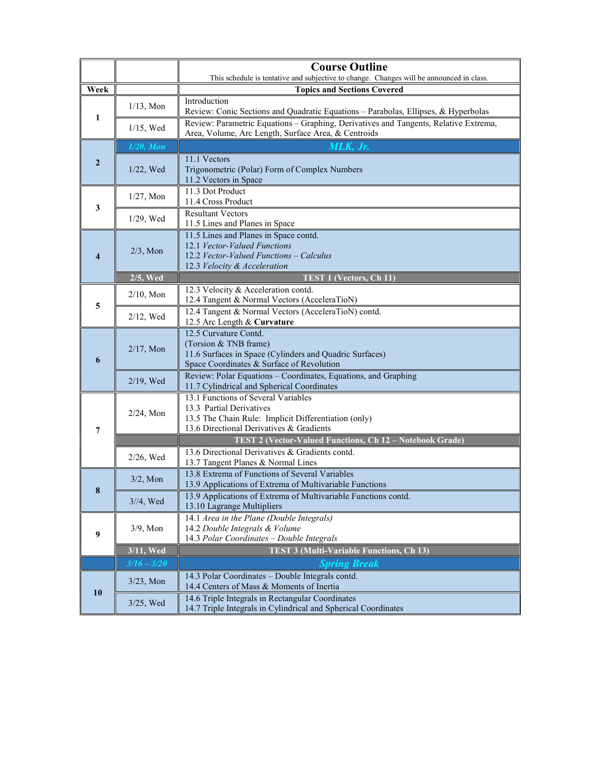|                  |               | <b>Course Outline</b><br>This schedule is tentative and subjective to change. Changes will be announced in class. |  |  |  |
|------------------|---------------|-------------------------------------------------------------------------------------------------------------------|--|--|--|
| Week             |               | <b>Topics and Sections Covered</b>                                                                                |  |  |  |
|                  |               | Introduction                                                                                                      |  |  |  |
| 1                | $1/13$ , Mon  | Review: Conic Sections and Quadratic Equations - Parabolas, Ellipses, & Hyperbolas                                |  |  |  |
|                  |               | Review: Parametric Equations - Graphing, Derivatives and Tangents, Relative Extrema,                              |  |  |  |
|                  | $1/15$ , Wed  | Area, Volume, Arc Length, Surface Area, & Centroids                                                               |  |  |  |
|                  | $1/20$ , Mon  |                                                                                                                   |  |  |  |
| $\boldsymbol{2}$ |               | 11.1 Vectors                                                                                                      |  |  |  |
|                  | 1/22, Wed     | Trigonometric (Polar) Form of Complex Numbers                                                                     |  |  |  |
|                  |               | 11.2 Vectors in Space                                                                                             |  |  |  |
|                  | $1/27$ , Mon  | 11.3 Dot Product                                                                                                  |  |  |  |
| 3                |               | 11.4 Cross Product                                                                                                |  |  |  |
|                  | 1/29, Wed     | <b>Resultant Vectors</b><br>11.5 Lines and Planes in Space                                                        |  |  |  |
|                  |               | 11.5 Lines and Planes in Space contd.                                                                             |  |  |  |
|                  |               | 12.1 Vector-Valued Functions                                                                                      |  |  |  |
| $\overline{4}$   | $2/3$ , Mon   | 12.2 Vector-Valued Functions – Calculus                                                                           |  |  |  |
|                  |               | 12.3 Velocity & Acceleration                                                                                      |  |  |  |
|                  | 2/5, Wed      | TEST 1 (Vectors, Ch 11)                                                                                           |  |  |  |
|                  | $2/10$ , Mon  | 12.3 Velocity & Acceleration contd.                                                                               |  |  |  |
| 5                |               | 12.4 Tangent & Normal Vectors (AcceleraTioN)                                                                      |  |  |  |
|                  | $2/12$ , Wed  | 12.4 Tangent & Normal Vectors (AcceleraTioN) contd.                                                               |  |  |  |
|                  |               | 12.5 Arc Length & Curvature<br>12.5 Curvature Contd.                                                              |  |  |  |
|                  |               | (Torsion & TNB frame)                                                                                             |  |  |  |
|                  | $2/17$ , Mon  | 11.6 Surfaces in Space (Cylinders and Quadric Surfaces)                                                           |  |  |  |
| 6                |               | Space Coordinates & Surface of Revolution                                                                         |  |  |  |
|                  | 2/19, Wed     | Review: Polar Equations - Coordinates, Equations, and Graphing                                                    |  |  |  |
|                  |               | 11.7 Cylindrical and Spherical Coordinates                                                                        |  |  |  |
|                  | 2/24, Mon     | 13.1 Functions of Several Variables                                                                               |  |  |  |
|                  |               | 13.3 Partial Derivatives<br>13.5 The Chain Rule: Implicit Differentiation (only)                                  |  |  |  |
| 7                |               | 13.6 Directional Derivatives & Gradients                                                                          |  |  |  |
|                  |               | <b>TEST 2 (Vector-Valued Functions, Ch 12 - Notebook Grade)</b>                                                   |  |  |  |
|                  |               | 13.6 Directional Derivatives & Gradients contd.                                                                   |  |  |  |
|                  | 2/26, Wed     | 13.7 Tangent Planes & Normal Lines                                                                                |  |  |  |
|                  | $3/2$ , Mon   | 13.8 Extrema of Functions of Several Variables                                                                    |  |  |  |
| 8                |               | 13.9 Applications of Extrema of Multivariable Functions                                                           |  |  |  |
|                  | $3/4$ , Wed   | 13.9 Applications of Extrema of Multivariable Functions contd.                                                    |  |  |  |
|                  |               | 13.10 Lagrange Multipliers                                                                                        |  |  |  |
|                  | $3/9$ , Mon   | 14.1 Area in the Plane (Double Integrals)<br>14.2 Double Integrals & Volume                                       |  |  |  |
| 9                |               | 14.3 Polar Coordinates - Double Integrals                                                                         |  |  |  |
|                  | 3/11, Wed     | <b>TEST 3 (Multi-Variable Functions, Ch 13)</b>                                                                   |  |  |  |
|                  | $3/16 - 3/20$ | <b>Spring Break</b>                                                                                               |  |  |  |
|                  |               | 14.3 Polar Coordinates - Double Integrals contd.                                                                  |  |  |  |
|                  | $3/23$ , Mon  | 14.4 Centers of Mass & Moments of Inertia                                                                         |  |  |  |
| 10               | 3/25, Wed     | 14.6 Triple Integrals in Rectangular Coordinates                                                                  |  |  |  |
|                  |               | 14.7 Triple Integrals in Cylindrical and Spherical Coordinates                                                    |  |  |  |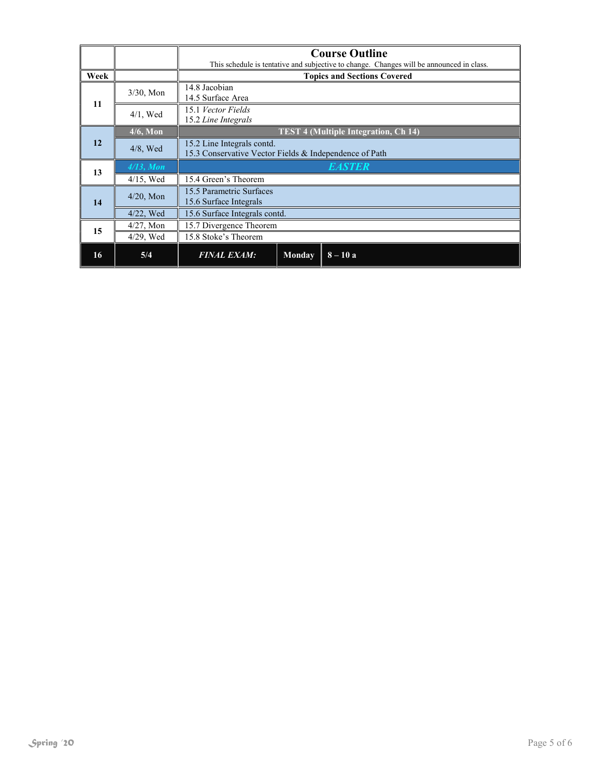|      |              | <b>Course Outline</b>                                                                    |  |  |  |
|------|--------------|------------------------------------------------------------------------------------------|--|--|--|
|      |              | This schedule is tentative and subjective to change. Changes will be announced in class. |  |  |  |
| Week |              | <b>Topics and Sections Covered</b>                                                       |  |  |  |
| 11   | $3/30$ , Mon | 14.8 Jacobian<br>14.5 Surface Area                                                       |  |  |  |
|      | $4/1$ , Wed  | 15.1 Vector Fields<br>15.2 Line Integrals                                                |  |  |  |
|      | $4/6$ , Mon  | <b>TEST 4 (Multiple Integration, Ch 14)</b>                                              |  |  |  |
| 12   | $4/8$ , Wed  | 15.2 Line Integrals contd.<br>15.3 Conservative Vector Fields & Independence of Path     |  |  |  |
| 13   | $4/13$ , Mon | <b>EASTER</b>                                                                            |  |  |  |
|      | $4/15$ , Wed | 15.4 Green's Theorem                                                                     |  |  |  |
| 14   | $4/20$ , Mon | 15.5 Parametric Surfaces<br>15.6 Surface Integrals                                       |  |  |  |
|      | $4/22$ , Wed | 15.6 Surface Integrals contd.                                                            |  |  |  |
| 15   | $4/27$ , Mon | 15.7 Divergence Theorem                                                                  |  |  |  |
|      | $4/29$ , Wed | 15.8 Stoke's Theorem                                                                     |  |  |  |
| 16   | 5/4          | $8 - 10a$<br><b>FINAL EXAM:</b><br><b>Monday</b>                                         |  |  |  |